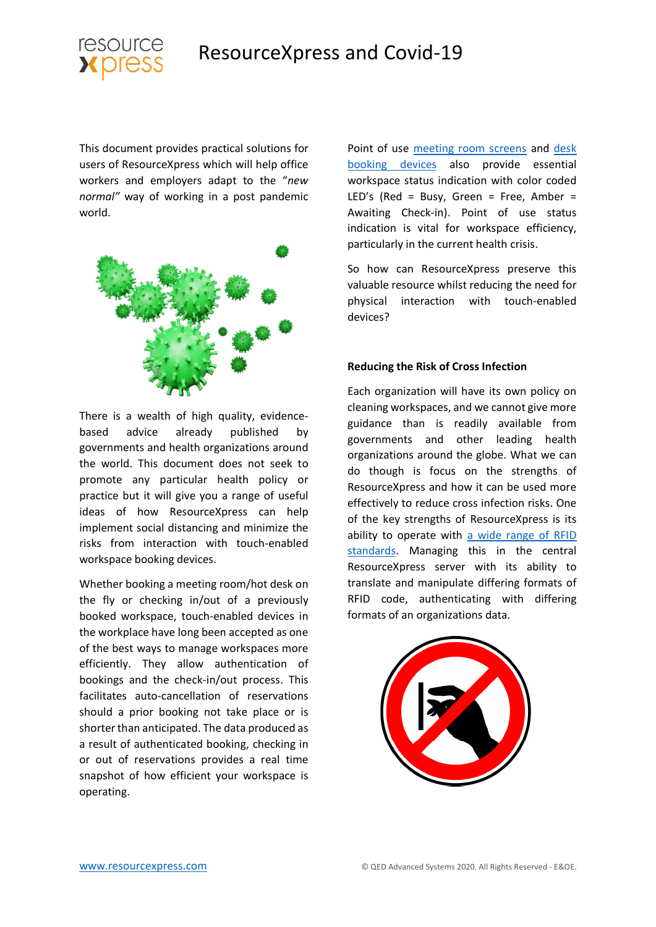



This document provides practical solutions for users of ResourceXpress which will help office workers and employers adapt to the "*new normal"* way of working in a post pandemic world.



There is a wealth of high quality, evidencebased advice already published by governments and health organizations around the world. This document does not seek to promote any particular health policy or practice but it will give you a range of useful ideas of how ResourceXpress can help implement social distancing and minimize the risks from interaction with touch-enabled workspace booking devices.

Whether booking a meeting room/hot desk on the fly or checking in/out of a previously booked workspace, touch-enabled devices in the workplace have long been accepted as one of the best ways to manage workspaces more efficiently. They allow authentication of bookings and the check-in/out process. This facilitates auto-cancellation of reservations should a prior booking not take place or is shorter than anticipated. The data produced as a result of authenticated booking, checking in or out of reservations provides a real time snapshot of how efficient your workspace is operating.

Point of use [meeting room screens](https://www.resourcexpress.com/meeting-room-booking-systems/hardware/aura/) and desk [booking devices](https://www.resourcexpress.com/meeting-room-booking-systems/hardware/qubi3/) also provide essential workspace status indication with color coded LED's (Red = Busy, Green = Free, Amber = Awaiting Check-in). Point of use status indication is vital for workspace efficiency, particularly in the current health crisis.

So how can ResourceXpress preserve this valuable resource whilst reducing the need for physical interaction with touch-enabled devices?

#### **Reducing the Risk of Cross Infection**

Each organization will have its own policy on cleaning workspaces, and we cannot give more guidance than is readily available from governments and other leading health organizations around the globe. What we can do though is focus on the strengths of ResourceXpress and how it can be used more effectively to reduce cross infection risks. One of the key strengths of ResourceXpress is its ability to operate with [a wide range of RFID](https://www.resourcexpress.com/news/rfid-options-for-meeting-room-screens-desk-booking/)  [standards.](https://www.resourcexpress.com/news/rfid-options-for-meeting-room-screens-desk-booking/) Managing this in the central ResourceXpress server with its ability to translate and manipulate differing formats of RFID code, authenticating with differing formats of an organizations data.

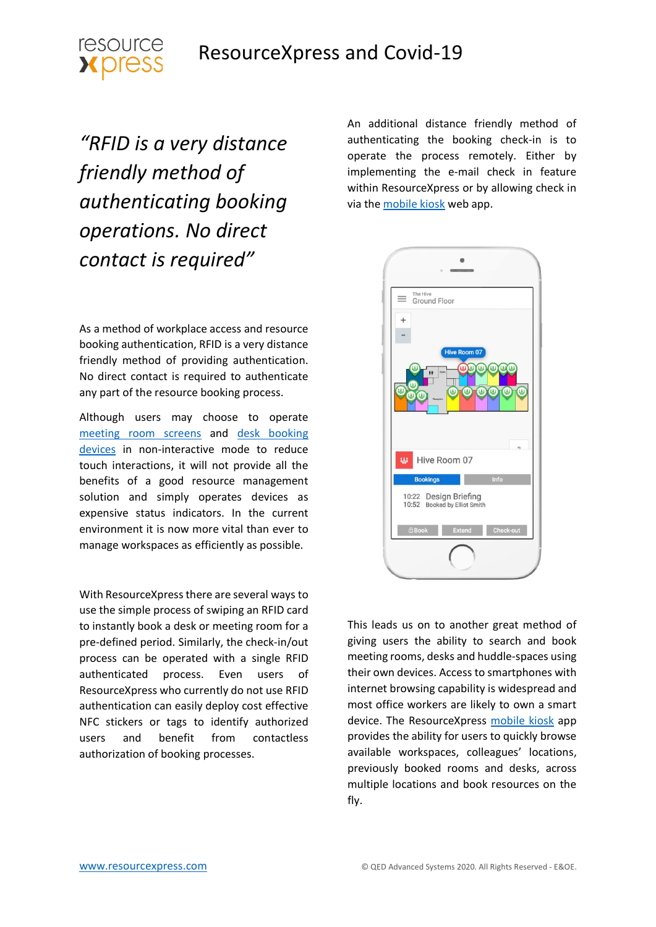

*"RFID is a very distance friendly method of authenticating booking operations. No direct contact is required"*

As a method of workplace access and resource booking authentication, RFID is a very distance friendly method of providing authentication. No direct contact is required to authenticate any part of the resource booking process.

Although users may choose to operate [meeting room screens](https://www.resourcexpress.com/meeting-room-booking-systems/hardware/aura/) and [desk booking](https://www.resourcexpress.com/meeting-room-booking-systems/hardware/qubi3/)  [devices](https://www.resourcexpress.com/meeting-room-booking-systems/hardware/qubi3/) in non-interactive mode to reduce touch interactions, it will not provide all the benefits of a good resource management solution and simply operates devices as expensive status indicators. In the current environment it is now more vital than ever to manage workspaces as efficiently as possible.

With ResourceXpress there are several ways to use the simple process of swiping an RFID card to instantly book a desk or meeting room for a pre-defined period. Similarly, the check-in/out process can be operated with a single RFID authenticated process. Even users of ResourceXpress who currently do not use RFID authentication can easily deploy cost effective NFC stickers or tags to identify authorized users and benefit from contactless authorization of booking processes.

An additional distance friendly method of authenticating the booking check-in is to operate the process remotely. Either by implementing the e-mail check in feature within ResourceXpress or by allowing check in via the [mobile kiosk](https://www.resourcexpress.com/meeting-room-booking-systems/hardware/q-kiosk/) web app.



This leads us on to another great method of giving users the ability to search and book meeting rooms, desks and huddle-spaces using their own devices. Access to smartphones with internet browsing capability is widespread and most office workers are likely to own a smart device. The ResourceXpress [mobile kiosk](https://www.resourcexpress.com/meeting-room-booking-systems/hardware/q-kiosk/) app provides the ability for users to quickly browse available workspaces, colleagues' locations, previously booked rooms and desks, across multiple locations and book resources on the fly.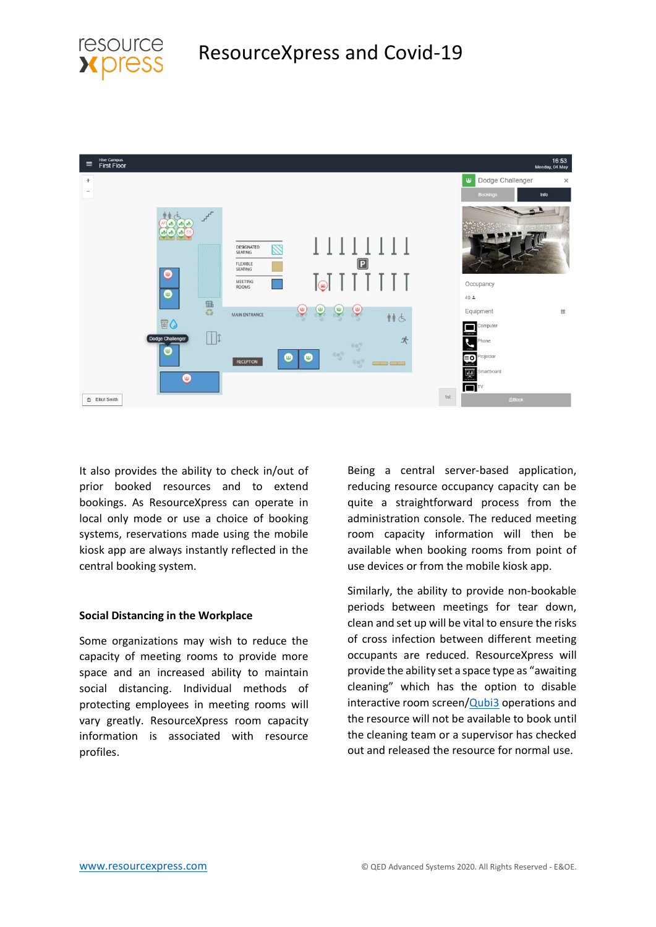



It also provides the ability to check in/out of prior booked resources and to extend bookings. As ResourceXpress can operate in local only mode or use a choice of booking systems, reservations made using the mobile kiosk app are always instantly reflected in the central booking system.

#### **Social Distancing in the Workplace**

Some organizations may wish to reduce the capacity of meeting rooms to provide more space and an increased ability to maintain social distancing. Individual methods of protecting employees in meeting rooms will vary greatly. ResourceXpress room capacity information is associated with resource profiles.

Being a central server-based application, reducing resource occupancy capacity can be quite a straightforward process from the administration console. The reduced meeting room capacity information will then be available when booking rooms from point of use devices or from the mobile kiosk app.

Similarly, the ability to provide non-bookable periods between meetings for tear down, clean and set up will be vital to ensure the risks of cross infection between different meeting occupants are reduced. ResourceXpress will provide the ability set a space type as "awaiting cleaning" which has the option to disable interactive room screen[/Qubi3](https://www.resourcexpress.com/meeting-room-booking-systems/hardware/qubi3/) operations and the resource will not be available to book until the cleaning team or a supervisor has checked out and released the resource for normal use.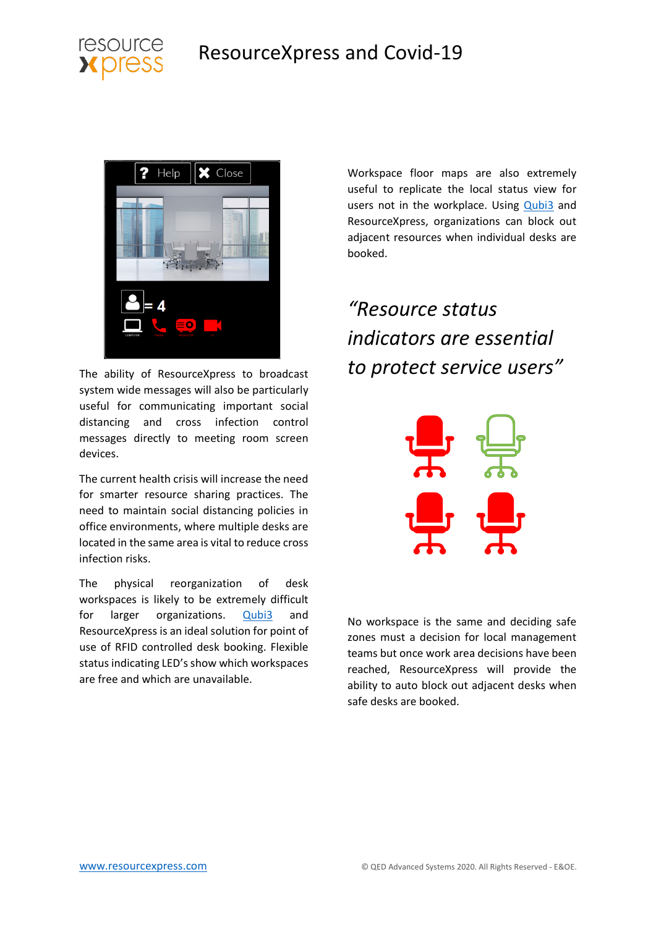



The ability of ResourceXpress to broadcast system wide messages will also be particularly useful for communicating important social distancing and cross infection control messages directly to meeting room screen devices.

The current health crisis will increase the need for smarter resource sharing practices. The need to maintain social distancing policies in office environments, where multiple desks are located in the same area is vital to reduce cross infection risks.

The physical reorganization of desk workspaces is likely to be extremely difficult for larger organizations. **[Qubi3](https://www.resourcexpress.com/meeting-room-booking-systems/hardware/qubi3/)** and ResourceXpress is an ideal solution for point of use of RFID controlled desk booking. Flexible status indicating LED's show which workspaces are free and which are unavailable.

Workspace floor maps are also extremely useful to replicate the local status view for users not in the workplace. Using [Qubi3](https://www.resourcexpress.com/meeting-room-booking-systems/hardware/qubi3/) and ResourceXpress, organizations can block out adjacent resources when individual desks are booked.

# *"Resource status indicators are essential to protect service users"*



No workspace is the same and deciding safe zones must a decision for local management teams but once work area decisions have been reached, ResourceXpress will provide the ability to auto block out adjacent desks when safe desks are booked.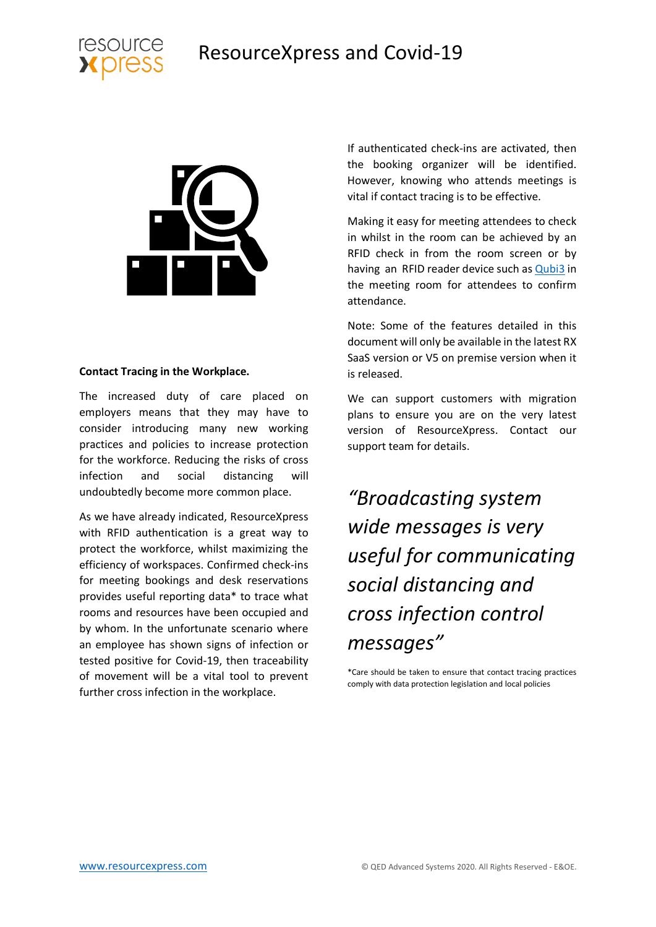





#### **Contact Tracing in the Workplace.**

The increased duty of care placed on employers means that they may have to consider introducing many new working practices and policies to increase protection for the workforce. Reducing the risks of cross infection and social distancing will undoubtedly become more common place.

As we have already indicated, ResourceXpress with RFID authentication is a great way to protect the workforce, whilst maximizing the efficiency of workspaces. Confirmed check-ins for meeting bookings and desk reservations provides useful reporting data\* to trace what rooms and resources have been occupied and by whom. In the unfortunate scenario where an employee has shown signs of infection or tested positive for Covid-19, then traceability of movement will be a vital tool to prevent further cross infection in the workplace.

If authenticated check-ins are activated, then the booking organizer will be identified. However, knowing who attends meetings is vital if contact tracing is to be effective.

Making it easy for meeting attendees to check in whilst in the room can be achieved by an RFID check in from the room screen or by having an RFID reader device such as **Qubi3** in the meeting room for attendees to confirm attendance.

Note: Some of the features detailed in this document will only be available in the latest RX SaaS version or V5 on premise version when it is released.

We can support customers with migration plans to ensure you are on the very latest version of ResourceXpress. Contact our support team for details.

*"Broadcasting system wide messages is very useful for communicating social distancing and cross infection control messages"*

\*Care should be taken to ensure that contact tracing practices comply with data protection legislation and local policies